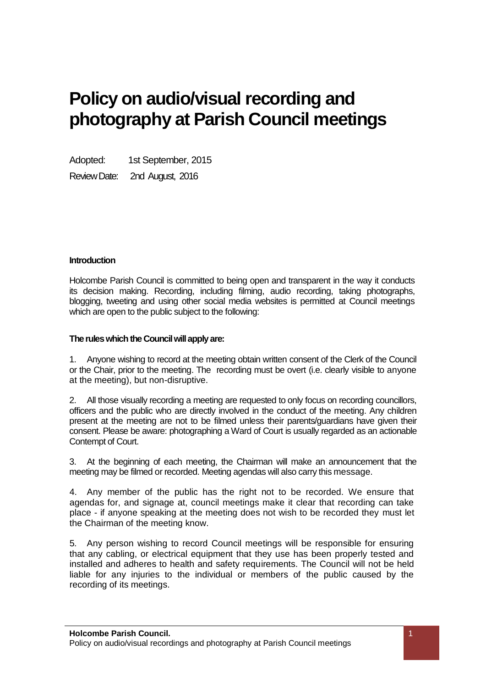## **Policy on audio/visual recording and photography at Parish Council meetings**

Adopted: 1st September, 2015 Review Date: 2nd August, 2016

## **Introduction**

Holcombe Parish Council is committed to being open and transparent in the way it conducts its decision making. Recording, including filming, audio recording, taking photographs, blogging, tweeting and using other social media websites is permitted at Council meetings which are open to the public subject to the following:

## **The rules which the Council will apply are:**

1. Anyone wishing to record at the meeting obtain written consent of the Clerk of the Council or the Chair, prior to the meeting. The recording must be overt (i.e. clearly visible to anyone at the meeting), but non-disruptive.

2. All those visually recording a meeting are requested to only focus on recording councillors, officers and the public who are directly involved in the conduct of the meeting. Any children present at the meeting are not to be filmed unless their parents/guardians have given their consent. Please be aware: photographing a Ward of Court is usually regarded as an actionable Contempt of Court.

3. At the beginning of each meeting, the Chairman will make an announcement that the meeting may be filmed or recorded. Meeting agendas will also carry this message.

4. Any member of the public has the right not to be recorded. We ensure that agendas for, and signage at, council meetings make it clear that recording can take place - if anyone speaking at the meeting does not wish to be recorded they must let the Chairman of the meeting know.

5. Any person wishing to record Council meetings will be responsible for ensuring that any cabling, or electrical equipment that they use has been properly tested and installed and adheres to health and safety requirements. The Council will not be held liable for any injuries to the individual or members of the public caused by the recording of its meetings.